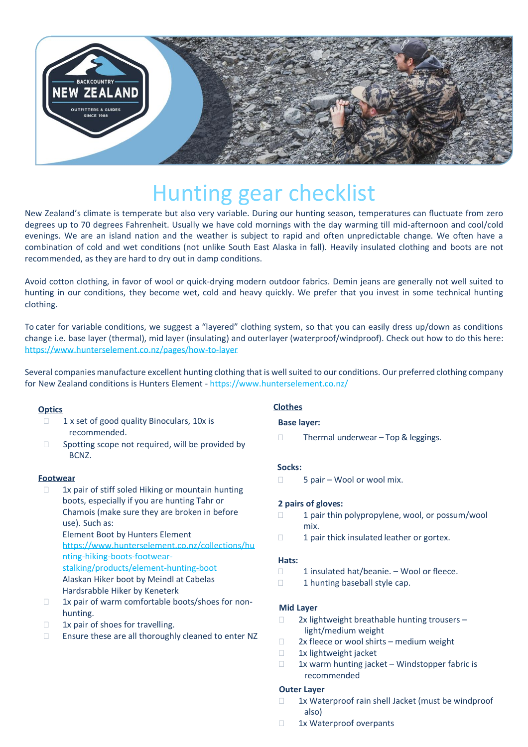

# Hunting gear checklist

New Zealand's climate is temperate but also very variable. During our hunting season, temperatures can fluctuate from zero degrees up to 70 degrees Fahrenheit. Usually we have cold mornings with the day warming till mid-afternoon and cool/cold evenings. We are an island nation and the weather is subject to rapid and often unpredictable change. We often have a combination of cold and wet conditions (not unlike South East Alaska in fall). Heavily insulated clothing and boots are not recommended, as they are hard to dry out in damp conditions.

Avoid cotton clothing, in favor of wool or quick-drying modern outdoor fabrics. Demin jeans are generally not well suited to hunting in our conditions, they become wet, cold and heavy quickly. We prefer that you invest in some technical hunting clothing.

To cater for variable conditions, we suggest a "layered" clothing system, so that you can easily dress up/down as conditions change i.e. base layer (thermal), mid layer (insulating) and outerlayer (waterproof/windproof). Check out how to do this here: <https://www.hunterselement.co.nz/pages/how-to-layer>

Several companies manufacture excellent hunting clothing that is well suited to our conditions. Our preferred clothing company for New Zealand conditions is Hunters Element - https://www.hunterselement.co.nz/

# **Optics**

- $1 x set of good quality Binoculars, 10x is$ recommended.
- $\Box$  Spotting scope not required, will be provided by BCNZ.

#### **Footwear**

- $\Box$  1x pair of stiff soled Hiking or mountain hunting boots, especially if you are hunting Tahr or Chamois (make sure they are broken in before use). Such as: Element Boot by Hunters Element [https://www.hunterselement.co.nz/collections/hu](https://www.hunterselement.co.nz/collections/hunting-hiking-boots-footwear-stalking/products/element-hunting-boot) [nting-hiking-boots-footwear](https://www.hunterselement.co.nz/collections/hunting-hiking-boots-footwear-stalking/products/element-hunting-boot)[stalking/products/element-hunting-boot](https://www.hunterselement.co.nz/collections/hunting-hiking-boots-footwear-stalking/products/element-hunting-boot) Alaskan Hiker boot by Meindl at Cabelas Hardsrabble Hiker by Keneterk
- $\Box$  1x pair of warm comfortable boots/shoes for nonhunting.
- $\Box$  1x pair of shoes for travelling.
- $\Box$  Ensure these are all thoroughly cleaned to enter NZ

# **Clothes**

## **Base layer:**

 $\Box$  Thermal underwear – Top & leggings.

#### **Socks:**

□ 5 pair – Wool or wool mix.

#### **2 pairs of gloves:**

- $\Box$  1 pair thin polypropylene, wool, or possum/wool mix.
- $\Box$  1 pair thick insulated leather or gortex.

#### **Hats:**

- $\Box$  1 insulated hat/beanie. Wool or fleece.
- 1 hunting baseball style cap.

# **Mid Layer**

- $\Box$  2x lightweight breathable hunting trousers light/medium weight
- $\Box$  2x fleece or wool shirts medium weight
- 1x lightweight jacket
- $\Box$  1x warm hunting jacket Windstopper fabric is recommended

# **Outer Layer**

- $\Box$  1x Waterproof rain shell Jacket (must be windproof also)
- 1x Waterproof overpants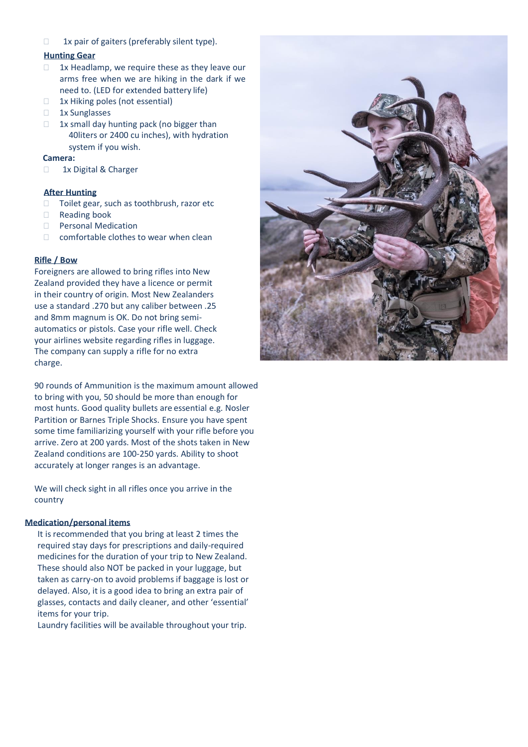$\Box$  1x pair of gaiters (preferably silent type).

## **Hunting Gear**

- $\Box$  1x Headlamp, we require these as they leave our arms free when we are hiking in the dark if we need to. (LED for extended battery life)
- $\Box$  1x Hiking poles (not essential)
- 1x Sunglasses
- $\Box$  1x small day hunting pack (no bigger than 40liters or 2400 cu inches), with hydration system if you wish.

#### **Camera:**

1x Digital & Charger

## **After Hunting**

- □ Toilet gear, such as toothbrush, razor etc
- □ Reading book
- D Personal Medication
- $\Box$  comfortable clothes to wear when clean

# **Rifle / Bow**

Foreigners are allowed to bring rifles into New Zealand provided they have a licence or permit in their country of origin. Most New Zealanders use a standard .270 but any caliber between .25 and 8mm magnum is OK. Do not bring semiautomatics or pistols. Case your rifle well. Check your airlines website regarding rifles in luggage. The company can supply a rifle for no extra charge.

90 rounds of Ammunition is the maximum amount allowed to bring with you, 50 should be more than enough for most hunts. Good quality bullets are essential e.g. Nosler Partition or Barnes Triple Shocks. Ensure you have spent some time familiarizing yourself with your rifle before you arrive. Zero at 200 yards. Most of the shots taken in New Zealand conditions are 100-250 yards. Ability to shoot accurately at longer ranges is an advantage.

We will check sight in all rifles once you arrive in the country

#### **Medication/personal items**

It is recommended that you bring at least 2 times the required stay days for prescriptions and daily-required medicines for the duration of your trip to New Zealand. These should also NOT be packed in your luggage, but taken as carry-on to avoid problems if baggage is lost or delayed. Also, it is a good idea to bring an extra pair of glasses, contacts and daily cleaner, and other 'essential' items for your trip.

Laundry facilities will be available throughout your trip.